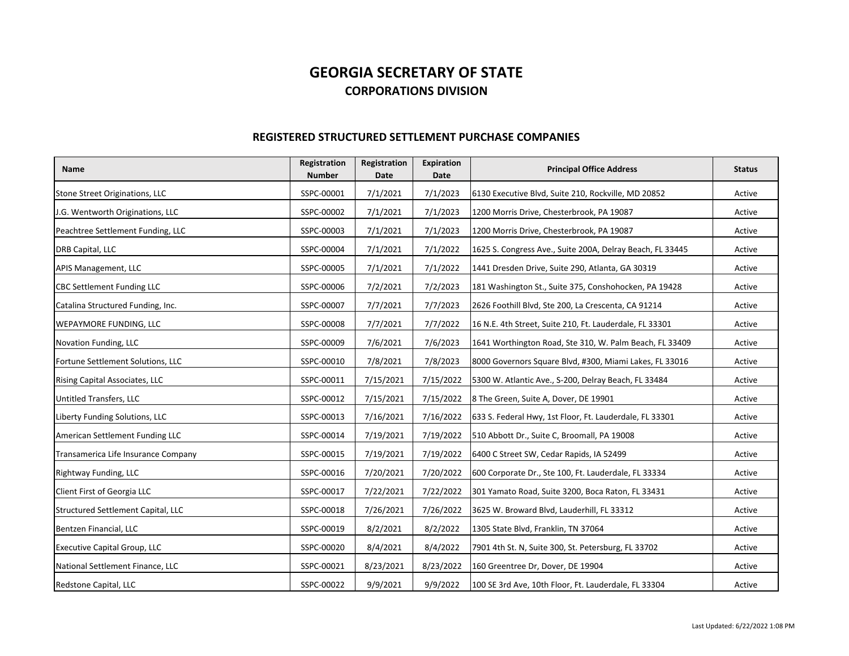## **GEORGIA SECRETARY OF STATECORPORATIONS DIVISION**

## **REGISTERED STRUCTURED SETTLEMENT PURCHASE COMPANIES**

| <b>Name</b>                         | Registration<br><b>Number</b> | Registration<br><b>Date</b> | Expiration<br><b>Date</b> | <b>Principal Office Address</b>                           | <b>Status</b> |
|-------------------------------------|-------------------------------|-----------------------------|---------------------------|-----------------------------------------------------------|---------------|
| Stone Street Originations, LLC      | SSPC-00001                    | 7/1/2021                    | 7/1/2023                  | 6130 Executive Blvd, Suite 210, Rockville, MD 20852       | Active        |
| J.G. Wentworth Originations, LLC    | SSPC-00002                    | 7/1/2021                    | 7/1/2023                  | 1200 Morris Drive, Chesterbrook, PA 19087                 | Active        |
| Peachtree Settlement Funding, LLC   | SSPC-00003                    | 7/1/2021                    | 7/1/2023                  | 1200 Morris Drive, Chesterbrook, PA 19087                 | Active        |
| DRB Capital, LLC                    | SSPC-00004                    | 7/1/2021                    | 7/1/2022                  | 1625 S. Congress Ave., Suite 200A, Delray Beach, FL 33445 | Active        |
| APIS Management, LLC                | SSPC-00005                    | 7/1/2021                    | 7/1/2022                  | 1441 Dresden Drive, Suite 290, Atlanta, GA 30319          | Active        |
| <b>CBC Settlement Funding LLC</b>   | SSPC-00006                    | 7/2/2021                    | 7/2/2023                  | 181 Washington St., Suite 375, Conshohocken, PA 19428     | Active        |
| Catalina Structured Funding, Inc.   | SSPC-00007                    | 7/7/2021                    | 7/7/2023                  | 2626 Foothill Blvd, Ste 200, La Crescenta, CA 91214       | Active        |
| WEPAYMORE FUNDING, LLC              | SSPC-00008                    | 7/7/2021                    | 7/7/2022                  | 16 N.E. 4th Street, Suite 210, Ft. Lauderdale, FL 33301   | Active        |
| Novation Funding, LLC               | SSPC-00009                    | 7/6/2021                    | 7/6/2023                  | 1641 Worthington Road, Ste 310, W. Palm Beach, FL 33409   | Active        |
| Fortune Settlement Solutions, LLC   | SSPC-00010                    | 7/8/2021                    | 7/8/2023                  | 8000 Governors Square Blvd, #300, Miami Lakes, FL 33016   | Active        |
| Rising Capital Associates, LLC      | SSPC-00011                    | 7/15/2021                   | 7/15/2022                 | 5300 W. Atlantic Ave., S-200, Delray Beach, FL 33484      | Active        |
| Untitled Transfers, LLC             | SSPC-00012                    | 7/15/2021                   | 7/15/2022                 | 8 The Green, Suite A, Dover, DE 19901                     | Active        |
| Liberty Funding Solutions, LLC      | SSPC-00013                    | 7/16/2021                   | 7/16/2022                 | 633 S. Federal Hwy, 1st Floor, Ft. Lauderdale, FL 33301   | Active        |
| American Settlement Funding LLC     | SSPC-00014                    | 7/19/2021                   | 7/19/2022                 | 510 Abbott Dr., Suite C, Broomall, PA 19008               | Active        |
| Transamerica Life Insurance Company | SSPC-00015                    | 7/19/2021                   | 7/19/2022                 | 6400 C Street SW, Cedar Rapids, IA 52499                  | Active        |
| Rightway Funding, LLC               | SSPC-00016                    | 7/20/2021                   | 7/20/2022                 | 600 Corporate Dr., Ste 100, Ft. Lauderdale, FL 33334      | Active        |
| Client First of Georgia LLC         | SSPC-00017                    | 7/22/2021                   | 7/22/2022                 | 301 Yamato Road, Suite 3200, Boca Raton, FL 33431         | Active        |
| Structured Settlement Capital, LLC  | SSPC-00018                    | 7/26/2021                   | 7/26/2022                 | 3625 W. Broward Blvd, Lauderhill, FL 33312                | Active        |
| Bentzen Financial, LLC              | SSPC-00019                    | 8/2/2021                    | 8/2/2022                  | 1305 State Blvd, Franklin, TN 37064                       | Active        |
| <b>Executive Capital Group, LLC</b> | SSPC-00020                    | 8/4/2021                    | 8/4/2022                  | 7901 4th St. N, Suite 300, St. Petersburg, FL 33702       | Active        |
| National Settlement Finance, LLC    | SSPC-00021                    | 8/23/2021                   | 8/23/2022                 | 160 Greentree Dr, Dover, DE 19904                         | Active        |
| Redstone Capital, LLC               | SSPC-00022                    | 9/9/2021                    | 9/9/2022                  | 100 SE 3rd Ave, 10th Floor, Ft. Lauderdale, FL 33304      | Active        |